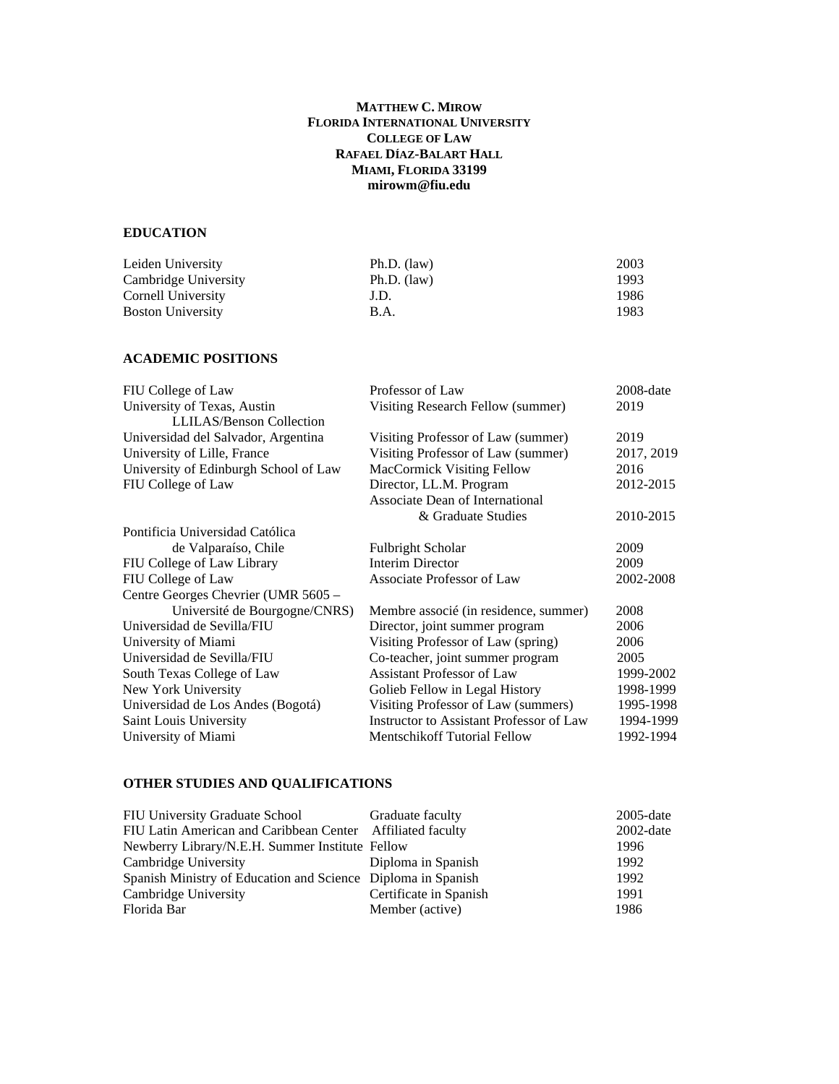## **MATTHEW C. MIROW FLORIDA INTERNATIONAL UNIVERSITY COLLEGE OF LAW RAFAEL DÍAZ-BALART HALL MIAMI, FLORIDA 33199 mirowm@fiu.edu**

## **EDUCATION**

| Leiden University        | $Ph.D.$ (law) | 2003 |
|--------------------------|---------------|------|
| Cambridge University     | $Ph.D.$ (law) | 1993 |
| Cornell University       | J.D.          | 1986 |
| <b>Boston University</b> | B.A.          | 1983 |

## **ACADEMIC POSITIONS**

| FIU College of Law                    | Professor of Law                         | 2008-date  |
|---------------------------------------|------------------------------------------|------------|
| University of Texas, Austin           | Visiting Research Fellow (summer)        | 2019       |
| <b>LLILAS/Benson Collection</b>       |                                          |            |
| Universidad del Salvador, Argentina   | Visiting Professor of Law (summer)       | 2019       |
| University of Lille, France           | Visiting Professor of Law (summer)       | 2017, 2019 |
| University of Edinburgh School of Law | MacCormick Visiting Fellow               | 2016       |
| FIU College of Law                    | Director, LL.M. Program                  | 2012-2015  |
|                                       | Associate Dean of International          |            |
|                                       | & Graduate Studies                       | 2010-2015  |
| Pontificia Universidad Católica       |                                          |            |
| de Valparaíso, Chile                  | <b>Fulbright Scholar</b>                 | 2009       |
| FIU College of Law Library            | <b>Interim Director</b>                  | 2009       |
| FIU College of Law                    | Associate Professor of Law               | 2002-2008  |
| Centre Georges Chevrier (UMR 5605 -   |                                          |            |
| Université de Bourgogne/CNRS)         | Membre associé (in residence, summer)    | 2008       |
| Universidad de Sevilla/FIU            | Director, joint summer program           | 2006       |
| University of Miami                   | Visiting Professor of Law (spring)       | 2006       |
| Universidad de Sevilla/FIU            | Co-teacher, joint summer program         | 2005       |
| South Texas College of Law            | <b>Assistant Professor of Law</b>        | 1999-2002  |
| New York University                   | Golieb Fellow in Legal History           | 1998-1999  |
| Universidad de Los Andes (Bogotá)     | Visiting Professor of Law (summers)      | 1995-1998  |
| Saint Louis University                | Instructor to Assistant Professor of Law | 1994-1999  |
| University of Miami                   | <b>Mentschikoff Tutorial Fellow</b>      | 1992-1994  |
|                                       |                                          |            |

# **OTHER STUDIES AND QUALIFICATIONS**

| FIU University Graduate School Graduate faculty              |                        | $2005$ -date |
|--------------------------------------------------------------|------------------------|--------------|
| FIU Latin American and Caribbean Center Affiliated faculty   |                        | $2002$ -date |
| Newberry Library/N.E.H. Summer Institute Fellow              |                        | 1996         |
| Cambridge University                                         | Diploma in Spanish     | 1992         |
| Spanish Ministry of Education and Science Diploma in Spanish |                        | 1992         |
| Cambridge University                                         | Certificate in Spanish | 1991         |
| Florida Bar                                                  | Member (active)        | 1986         |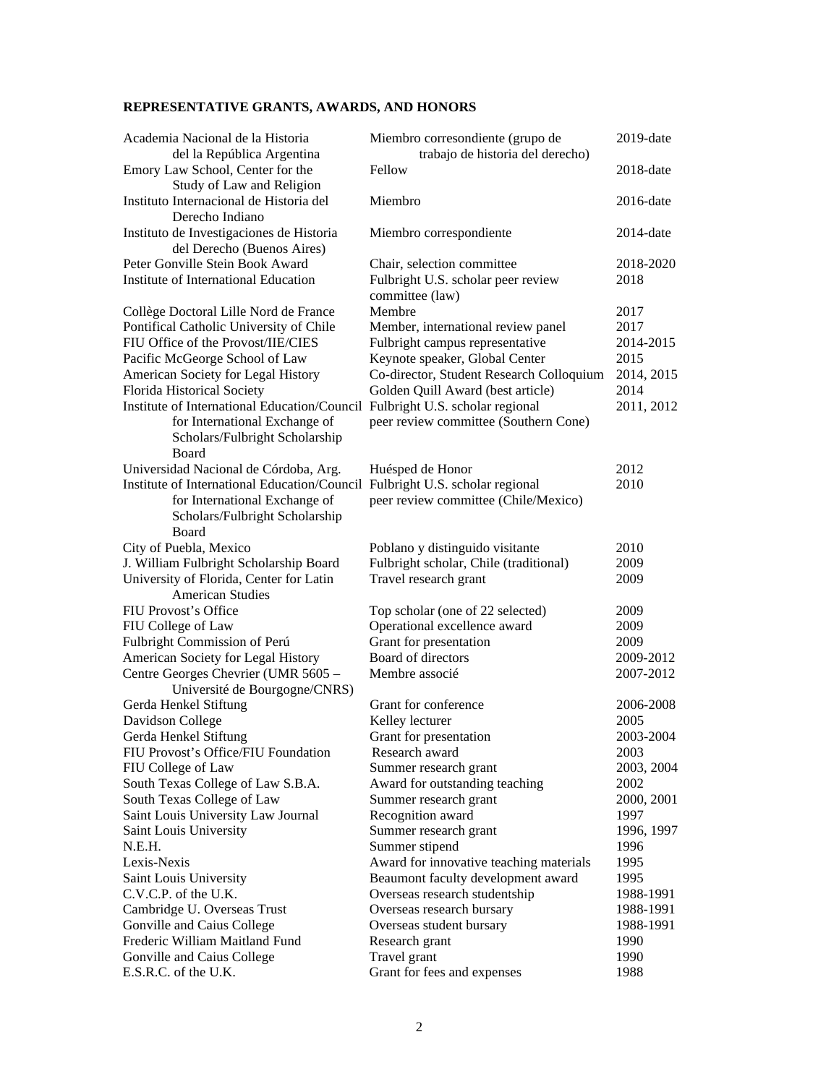# **REPRESENTATIVE GRANTS, AWARDS, AND HONORS**

| Academia Nacional de la Historia<br>del la República Argentina               | Miembro corresondiente (grupo de<br>trabajo de historia del derecho) | $2019$ -date |
|------------------------------------------------------------------------------|----------------------------------------------------------------------|--------------|
| Emory Law School, Center for the<br>Study of Law and Religion                | Fellow                                                               | $2018$ -date |
| Instituto Internacional de Historia del<br>Derecho Indiano                   | Miembro                                                              | $2016$ -date |
| Instituto de Investigaciones de Historia<br>del Derecho (Buenos Aires)       | Miembro correspondiente                                              | $2014$ -date |
| Peter Gonville Stein Book Award                                              | Chair, selection committee                                           | 2018-2020    |
| Institute of International Education                                         | Fulbright U.S. scholar peer review<br>committee (law)                | 2018         |
| Collège Doctoral Lille Nord de France                                        | Membre                                                               | 2017         |
| Pontifical Catholic University of Chile                                      | Member, international review panel                                   | 2017         |
| FIU Office of the Provost/IIE/CIES                                           | Fulbright campus representative                                      | 2014-2015    |
| Pacific McGeorge School of Law                                               | Keynote speaker, Global Center                                       | 2015         |
| American Society for Legal History                                           | Co-director, Student Research Colloquium                             | 2014, 2015   |
| Florida Historical Society                                                   | Golden Quill Award (best article)                                    | 2014         |
| Institute of International Education/Council Fulbright U.S. scholar regional |                                                                      | 2011, 2012   |
| for International Exchange of<br>Scholars/Fulbright Scholarship<br>Board     | peer review committee (Southern Cone)                                |              |
| Universidad Nacional de Córdoba, Arg.                                        | Huésped de Honor                                                     | 2012         |
| Institute of International Education/Council Fulbright U.S. scholar regional |                                                                      | 2010         |
| for International Exchange of<br>Scholars/Fulbright Scholarship<br>Board     | peer review committee (Chile/Mexico)                                 |              |
|                                                                              |                                                                      | 2010         |
| City of Puebla, Mexico                                                       | Poblano y distinguido visitante                                      |              |
| J. William Fulbright Scholarship Board                                       | Fulbright scholar, Chile (traditional)                               | 2009         |
| University of Florida, Center for Latin<br><b>American Studies</b>           | Travel research grant                                                | 2009         |
|                                                                              |                                                                      |              |
| FIU Provost's Office                                                         | Top scholar (one of 22 selected)                                     | 2009         |
| FIU College of Law                                                           | Operational excellence award                                         | 2009         |
| Fulbright Commission of Perú                                                 | Grant for presentation                                               | 2009         |
| American Society for Legal History                                           | Board of directors                                                   | 2009-2012    |
| Centre Georges Chevrier (UMR 5605 -                                          | Membre associé                                                       | 2007-2012    |
| Université de Bourgogne/CNRS)                                                |                                                                      |              |
| Gerda Henkel Stiftung                                                        | Grant for conference                                                 | 2006-2008    |
| Davidson College                                                             | Kelley lecturer                                                      | 2005         |
| Gerda Henkel Stiftung                                                        | Grant for presentation                                               | 2003-2004    |
| FIU Provost's Office/FIU Foundation                                          | Research award                                                       | 2003         |
| FIU College of Law                                                           | Summer research grant                                                | 2003, 2004   |
| South Texas College of Law S.B.A.                                            | Award for outstanding teaching                                       | 2002         |
| South Texas College of Law                                                   | Summer research grant                                                | 2000, 2001   |
| Saint Louis University Law Journal                                           | Recognition award                                                    | 1997         |
| Saint Louis University                                                       | Summer research grant                                                | 1996, 1997   |
| N.E.H.                                                                       | Summer stipend                                                       | 1996         |
| Lexis-Nexis                                                                  | Award for innovative teaching materials                              | 1995         |
| Saint Louis University                                                       | Beaumont faculty development award                                   | 1995         |
| C.V.C.P. of the U.K.                                                         | Overseas research studentship                                        | 1988-1991    |
| Cambridge U. Overseas Trust                                                  | Overseas research bursary                                            | 1988-1991    |
| Gonville and Caius College                                                   | Overseas student bursary                                             | 1988-1991    |
| Frederic William Maitland Fund                                               | Research grant                                                       | 1990         |
| Gonville and Caius College                                                   | Travel grant                                                         | 1990         |
| E.S.R.C. of the U.K.                                                         | Grant for fees and expenses                                          | 1988         |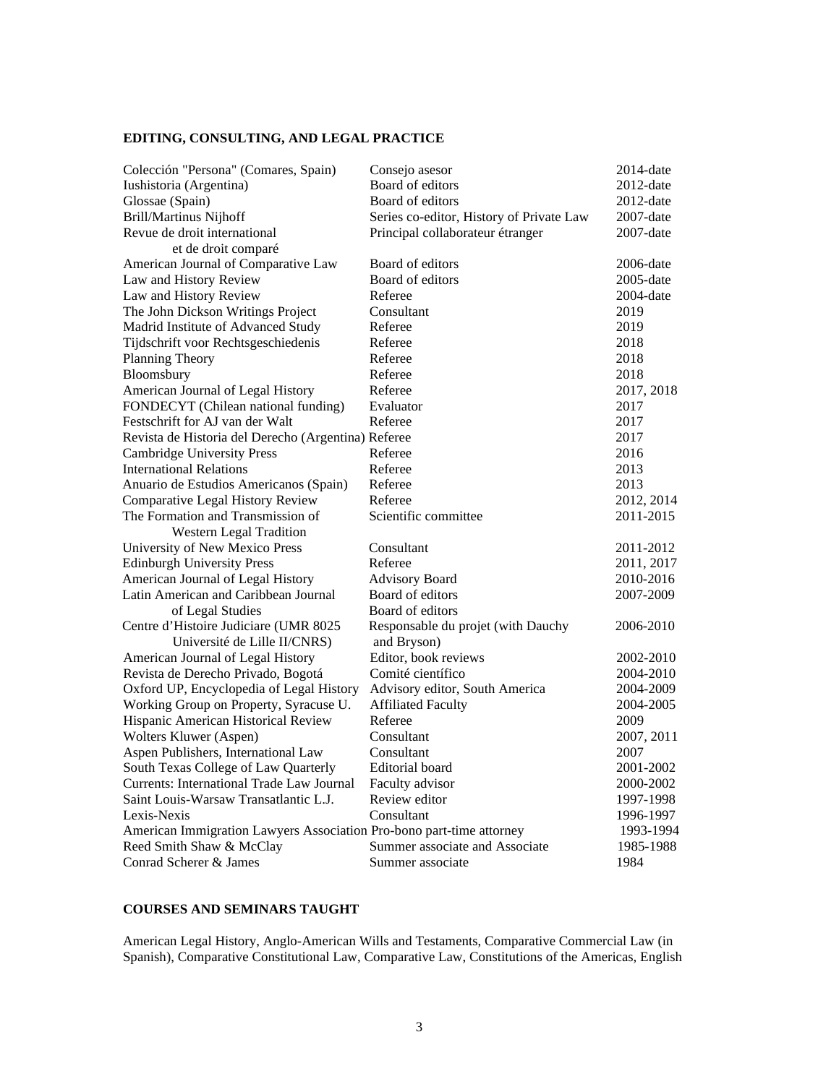# **EDITING, CONSULTING, AND LEGAL PRACTICE**

| Colección "Persona" (Comares, Spain)                                 | Consejo asesor                           | $2014$ -date |
|----------------------------------------------------------------------|------------------------------------------|--------------|
| Iushistoria (Argentina)                                              | Board of editors                         | $2012$ -date |
| Glossae (Spain)                                                      | Board of editors                         | $2012$ -date |
| <b>Brill/Martinus Nijhoff</b>                                        | Series co-editor, History of Private Law | $2007$ -date |
| Revue de droit international                                         | Principal collaborateur étranger         | $2007$ -date |
| et de droit comparé                                                  |                                          |              |
| American Journal of Comparative Law                                  | Board of editors                         | $2006$ -date |
| Law and History Review                                               | Board of editors                         | $2005$ -date |
| Law and History Review                                               | Referee                                  | $2004$ -date |
| The John Dickson Writings Project                                    | Consultant                               | 2019         |
| Madrid Institute of Advanced Study                                   | Referee                                  | 2019         |
| Tijdschrift voor Rechtsgeschiedenis                                  | Referee                                  | 2018         |
| Planning Theory                                                      | Referee                                  | 2018         |
| Bloomsbury                                                           | Referee                                  | 2018         |
| American Journal of Legal History                                    | Referee                                  | 2017, 2018   |
| FONDECYT (Chilean national funding)                                  | Evaluator                                | 2017         |
| Festschrift for AJ van der Walt                                      | Referee                                  | 2017         |
| Revista de Historia del Derecho (Argentina) Referee                  |                                          | 2017         |
| <b>Cambridge University Press</b>                                    | Referee                                  | 2016         |
| <b>International Relations</b>                                       | Referee                                  | 2013         |
| Anuario de Estudios Americanos (Spain)                               | Referee                                  | 2013         |
| Comparative Legal History Review                                     | Referee                                  | 2012, 2014   |
| The Formation and Transmission of                                    | Scientific committee                     | 2011-2015    |
| <b>Western Legal Tradition</b>                                       |                                          |              |
| University of New Mexico Press                                       | Consultant                               | 2011-2012    |
| <b>Edinburgh University Press</b>                                    | Referee                                  | 2011, 2017   |
| American Journal of Legal History                                    | <b>Advisory Board</b>                    | 2010-2016    |
| Latin American and Caribbean Journal                                 | Board of editors                         | 2007-2009    |
| of Legal Studies                                                     | Board of editors                         |              |
| Centre d'Histoire Judiciare (UMR 8025                                | Responsable du projet (with Dauchy       | 2006-2010    |
| Université de Lille II/CNRS)                                         | and Bryson)                              |              |
| American Journal of Legal History                                    | Editor, book reviews                     | 2002-2010    |
| Revista de Derecho Privado, Bogotá                                   | Comité científico                        | 2004-2010    |
| Oxford UP, Encyclopedia of Legal History                             | Advisory editor, South America           | 2004-2009    |
| Working Group on Property, Syracuse U.                               | <b>Affiliated Faculty</b>                | 2004-2005    |
| Hispanic American Historical Review                                  | Referee                                  | 2009         |
| Wolters Kluwer (Aspen)                                               | Consultant                               | 2007, 2011   |
| Aspen Publishers, International Law                                  | Consultant                               | 2007         |
| South Texas College of Law Quarterly                                 | Editorial board                          | 2001-2002    |
| Currents: International Trade Law Journal                            | Faculty advisor                          | 2000-2002    |
| Saint Louis-Warsaw Transatlantic L.J.                                | Review editor                            | 1997-1998    |
| Lexis-Nexis                                                          | Consultant                               | 1996-1997    |
| American Immigration Lawyers Association Pro-bono part-time attorney |                                          | 1993-1994    |
| Reed Smith Shaw & McClay                                             | Summer associate and Associate           | 1985-1988    |
| Conrad Scherer & James                                               | Summer associate                         | 1984         |
|                                                                      |                                          |              |

## **COURSES AND SEMINARS TAUGHT**

American Legal History, Anglo-American Wills and Testaments, Comparative Commercial Law (in Spanish), Comparative Constitutional Law, Comparative Law, Constitutions of the Americas, English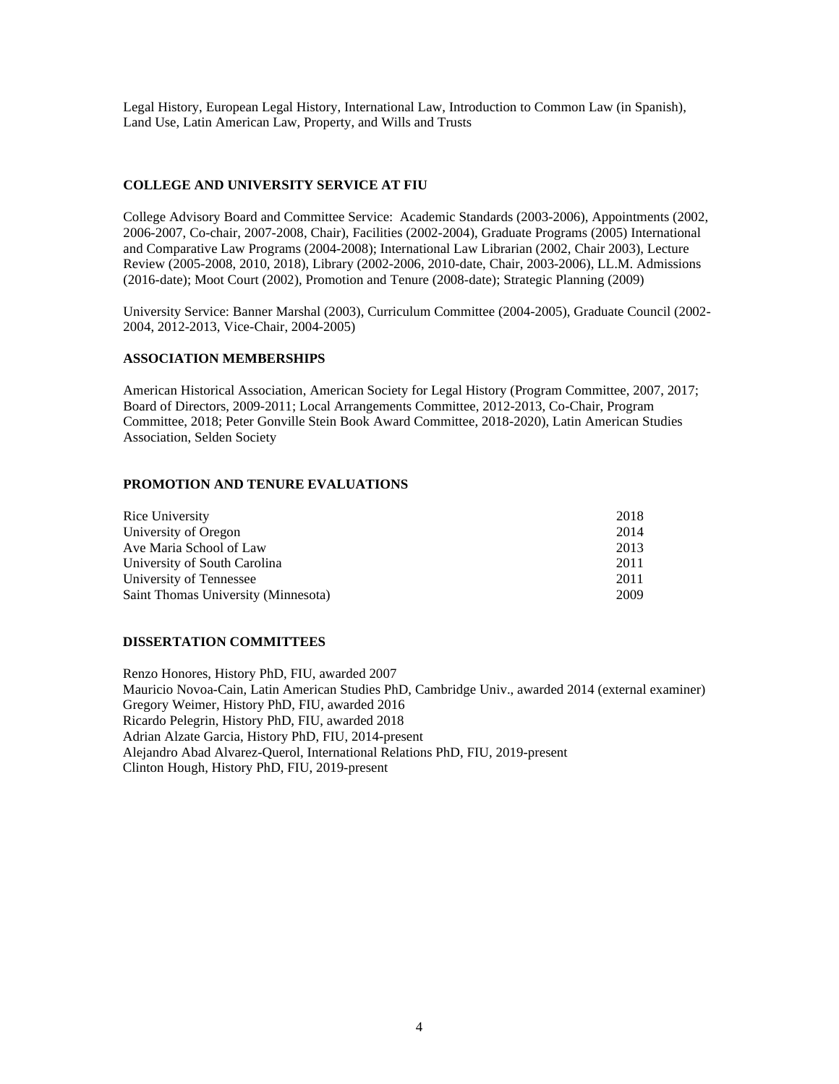Legal History, European Legal History, International Law, Introduction to Common Law (in Spanish), Land Use, Latin American Law, Property, and Wills and Trusts

# **COLLEGE AND UNIVERSITY SERVICE AT FIU**

College Advisory Board and Committee Service: Academic Standards (2003-2006), Appointments (2002, 2006-2007, Co-chair, 2007-2008, Chair), Facilities (2002-2004), Graduate Programs (2005) International and Comparative Law Programs (2004-2008); International Law Librarian (2002, Chair 2003), Lecture Review (2005-2008, 2010, 2018), Library (2002-2006, 2010-date, Chair, 2003-2006), LL.M. Admissions (2016-date); Moot Court (2002), Promotion and Tenure (2008-date); Strategic Planning (2009)

University Service: Banner Marshal (2003), Curriculum Committee (2004-2005), Graduate Council (2002- 2004, 2012-2013, Vice-Chair, 2004-2005)

## **ASSOCIATION MEMBERSHIPS**

American Historical Association, American Society for Legal History (Program Committee, 2007, 2017; Board of Directors, 2009-2011; Local Arrangements Committee, 2012-2013, Co-Chair, Program Committee, 2018; Peter Gonville Stein Book Award Committee, 2018-2020), Latin American Studies Association, Selden Society

## **PROMOTION AND TENURE EVALUATIONS**

| Rice University                     | 2018 |
|-------------------------------------|------|
| University of Oregon                | 2014 |
| Ave Maria School of Law             | 2013 |
| University of South Carolina        | 2011 |
| University of Tennessee             | 2011 |
| Saint Thomas University (Minnesota) | 2009 |

#### **DISSERTATION COMMITTEES**

Renzo Honores, History PhD, FIU, awarded 2007 Mauricio Novoa-Cain, Latin American Studies PhD, Cambridge Univ., awarded 2014 (external examiner) Gregory Weimer, History PhD, FIU, awarded 2016 Ricardo Pelegrin, History PhD, FIU, awarded 2018 Adrian Alzate Garcia, History PhD, FIU, 2014-present Alejandro Abad Alvarez-Querol, International Relations PhD, FIU, 2019-present Clinton Hough, History PhD, FIU, 2019-present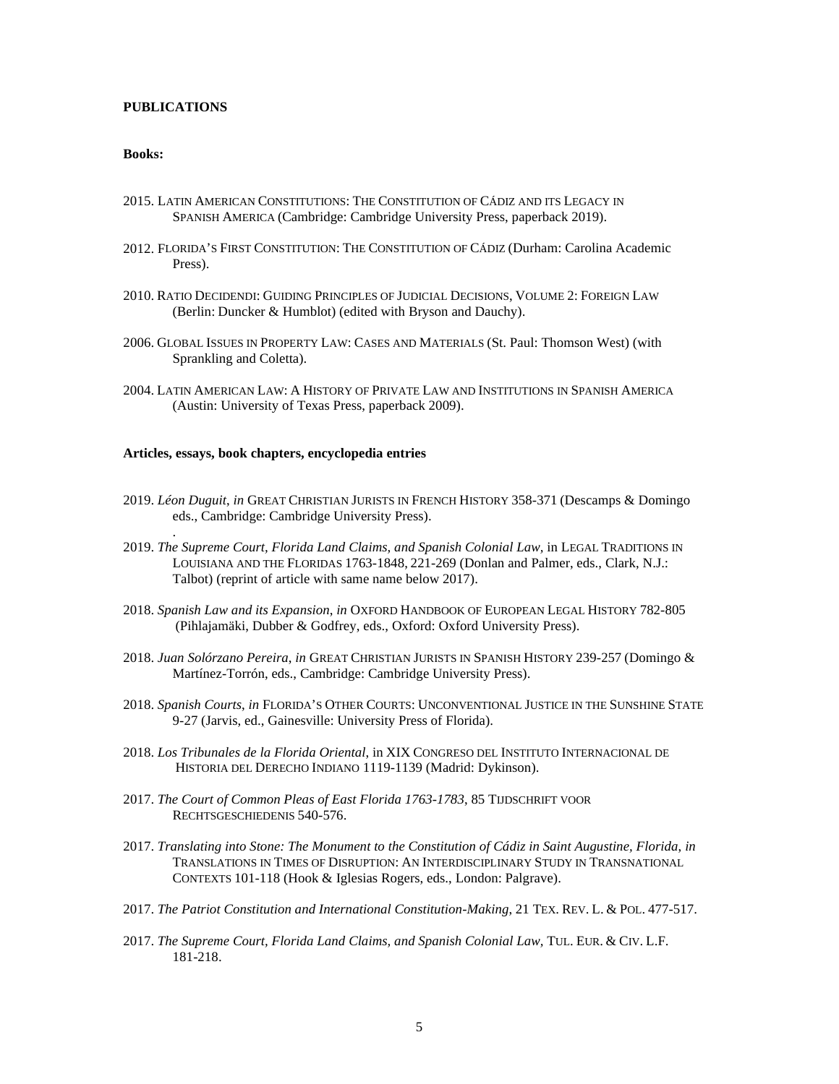## **PUBLICATIONS**

.

#### **Books:**

- 2015. LATIN AMERICAN CONSTITUTIONS: THE CONSTITUTION OF CÁDIZ AND ITS LEGACY IN SPANISH AMERICA (Cambridge: Cambridge University Press, paperback 2019).
- 2012. FLORIDA'S FIRST CONSTITUTION: THE CONSTITUTION OF CÁDIZ (Durham: Carolina Academic Press).
- 2010. RATIO DECIDENDI: GUIDING PRINCIPLES OF JUDICIAL DECISIONS, VOLUME 2: FOREIGN LAW (Berlin: Duncker & Humblot) (edited with Bryson and Dauchy).
- 2006. GLOBAL ISSUES IN PROPERTY LAW: CASES AND MATERIALS (St. Paul: Thomson West) (with Sprankling and Coletta).
- 2004. LATIN AMERICAN LAW: A HISTORY OF PRIVATE LAW AND INSTITUTIONS IN SPANISH AMERICA (Austin: University of Texas Press, paperback 2009).

#### **Articles, essays, book chapters, encyclopedia entries**

- 2019. *Léon Duguit*, *in* GREAT CHRISTIAN JURISTS IN FRENCH HISTORY 358-371 (Descamps & Domingo eds., Cambridge: Cambridge University Press).
- 2019. *The Supreme Court, Florida Land Claims, and Spanish Colonial Law,* in LEGAL TRADITIONS IN LOUISIANA AND THE FLORIDAS 1763-1848, 221-269 (Donlan and Palmer, eds., Clark, N.J.: Talbot) (reprint of article with same name below 2017).
- 2018. *Spanish Law and its Expansion*, *in* OXFORD HANDBOOK OF EUROPEAN LEGAL HISTORY 782-805 (Pihlajamäki, Dubber & Godfrey, eds., Oxford: Oxford University Press).
- 2018. *Juan Solórzano Pereira*, *in* GREAT CHRISTIAN JURISTS IN SPANISH HISTORY 239-257 (Domingo & Martínez-Torrón, eds., Cambridge: Cambridge University Press).
- 2018. *Spanish Courts*, *in* FLORIDA'S OTHER COURTS: UNCONVENTIONAL JUSTICE IN THE SUNSHINE STATE 9-27 (Jarvis, ed., Gainesville: University Press of Florida).
- 2018. *Los Tribunales de la Florida Oriental*, in XIX CONGRESO DEL INSTITUTO INTERNACIONAL DE HISTORIA DEL DERECHO INDIANO 1119-1139 (Madrid: Dykinson).
- 2017. *The Court of Common Pleas of East Florida 1763-1783*, 85 TIJDSCHRIFT VOOR RECHTSGESCHIEDENIS 540-576.
- 2017. *Translating into Stone: The Monument to the Constitution of Cádiz in Saint Augustine, Florida*, *in*  TRANSLATIONS IN TIMES OF DISRUPTION: AN INTERDISCIPLINARY STUDY IN TRANSNATIONAL CONTEXTS 101-118 (Hook & Iglesias Rogers, eds., London: Palgrave).
- 2017. *The Patriot Constitution and International Constitution-Making*, 21 TEX. REV. L. & POL. 477-517.
- 2017. *The Supreme Court, Florida Land Claims, and Spanish Colonial Law,* TUL. EUR. & CIV. L.F. 181-218.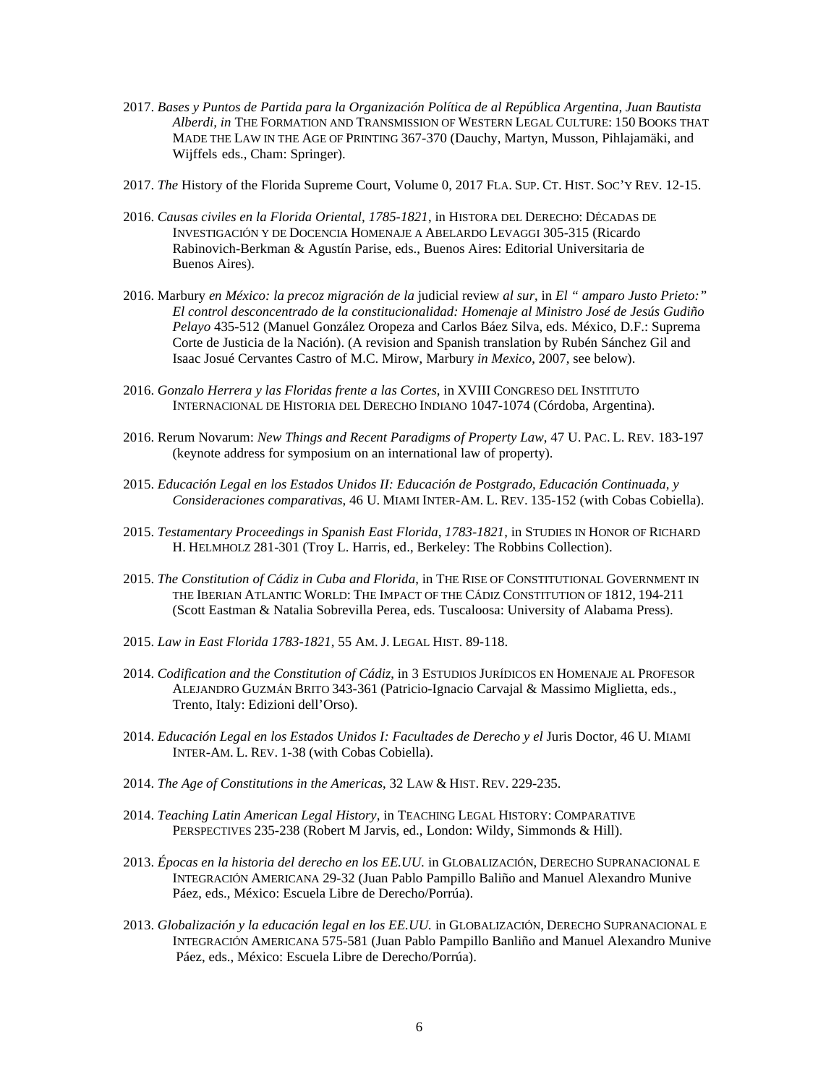- 2017. *Bases y Puntos de Partida para la Organización Política de al República Argentina, Juan Bautista Alberdi, in* THE FORMATION AND TRANSMISSION OF WESTERN LEGAL CULTURE: 150 BOOKS THAT MADE THE LAW IN THE AGE OF PRINTING 367-370 (Dauchy, Martyn, Musson, Pihlajamäki, and Wijffels eds., Cham: Springer).
- 2017. *The* History of the Florida Supreme Court, Volume 0, 2017 FLA. SUP. CT. HIST. SOC'Y REV. 12-15.
- 2016. *Causas civiles en la Florida Oriental, 1785-1821*, in HISTORA DEL DERECHO: DÉCADAS DE INVESTIGACIÓN Y DE DOCENCIA HOMENAJE A ABELARDO LEVAGGI 305-315 (Ricardo Rabinovich-Berkman & Agustín Parise, eds., Buenos Aires: Editorial Universitaria de Buenos Aires).
- 2016. Marbury *en México: la precoz migración de la* judicial review *al sur*, in *El " amparo Justo Prieto:" El control desconcentrado de la constitucionalidad: Homenaje al Ministro José de Jesús Gudiño Pelayo* 435-512 (Manuel González Oropeza and Carlos Báez Silva, eds. México, D.F.: Suprema Corte de Justicia de la Nación). (A revision and Spanish translation by Rubén Sánchez Gil and Isaac Josué Cervantes Castro of M.C. Mirow, Marbury *in Mexico*, 2007, see below).
- 2016. *Gonzalo Herrera y las Floridas frente a las Cortes*, in XVIII CONGRESO DEL INSTITUTO INTERNACIONAL DE HISTORIA DEL DERECHO INDIANO 1047-1074 (Córdoba, Argentina).
- 2016. Rerum Novarum: *New Things and Recent Paradigms of Property Law*, 47 U. PAC. L. REV. 183-197 (keynote address for symposium on an international law of property).
- 2015. *Educación Legal en los Estados Unidos II: Educación de Postgrado, Educación Continuada, y Consideraciones comparativas*, 46 U. MIAMI INTER-AM. L. REV. 135-152 (with Cobas Cobiella).
- 2015. *Testamentary Proceedings in Spanish East Florida, 1783-1821*, in STUDIES IN HONOR OF RICHARD H. HELMHOLZ 281-301 (Troy L. Harris, ed., Berkeley: The Robbins Collection).
- 2015. *The Constitution of Cádiz in Cuba and Florida*, in THE RISE OF CONSTITUTIONAL GOVERNMENT IN THE IBERIAN ATLANTIC WORLD: THE IMPACT OF THE CÁDIZ CONSTITUTION OF 1812, 194-211 (Scott Eastman & Natalia Sobrevilla Perea, eds. Tuscaloosa: University of Alabama Press).
- 2015. *Law in East Florida 1783-1821*, 55 AM. J. LEGAL HIST. 89-118.
- 2014. *Codification and the Constitution of Cádiz*, in 3 ESTUDIOS JURÍDICOS EN HOMENAJE AL PROFESOR ALEJANDRO GUZMÁN BRITO 343-361 (Patricio-Ignacio Carvajal & Massimo Miglietta, eds., Trento, Italy: Edizioni dell'Orso).
- 2014. *Educación Legal en los Estados Unidos I: Facultades de Derecho y el* Juris Doctor*,* 46 U. MIAMI INTER-AM. L. REV. 1-38 (with Cobas Cobiella).
- 2014. *The Age of Constitutions in the Americas*, 32 LAW & HIST. REV. 229-235.
- 2014. *Teaching Latin American Legal History*, in TEACHING LEGAL HISTORY: COMPARATIVE PERSPECTIVES 235-238 (Robert M Jarvis, ed., London: Wildy, Simmonds & Hill).
- 2013. *Épocas en la historia del derecho en los EE.UU.* in GLOBALIZACIÓN, DERECHO SUPRANACIONAL E INTEGRACIÓN AMERICANA 29-32 (Juan Pablo Pampillo Baliño and Manuel Alexandro Munive Páez, eds., México: Escuela Libre de Derecho/Porrúa).
- 2013. *Globalización y la educación legal en los EE.UU.* in GLOBALIZACIÓN, DERECHO SUPRANACIONAL E INTEGRACIÓN AMERICANA 575-581 (Juan Pablo Pampillo Banliño and Manuel Alexandro Munive Páez, eds., México: Escuela Libre de Derecho/Porrúa).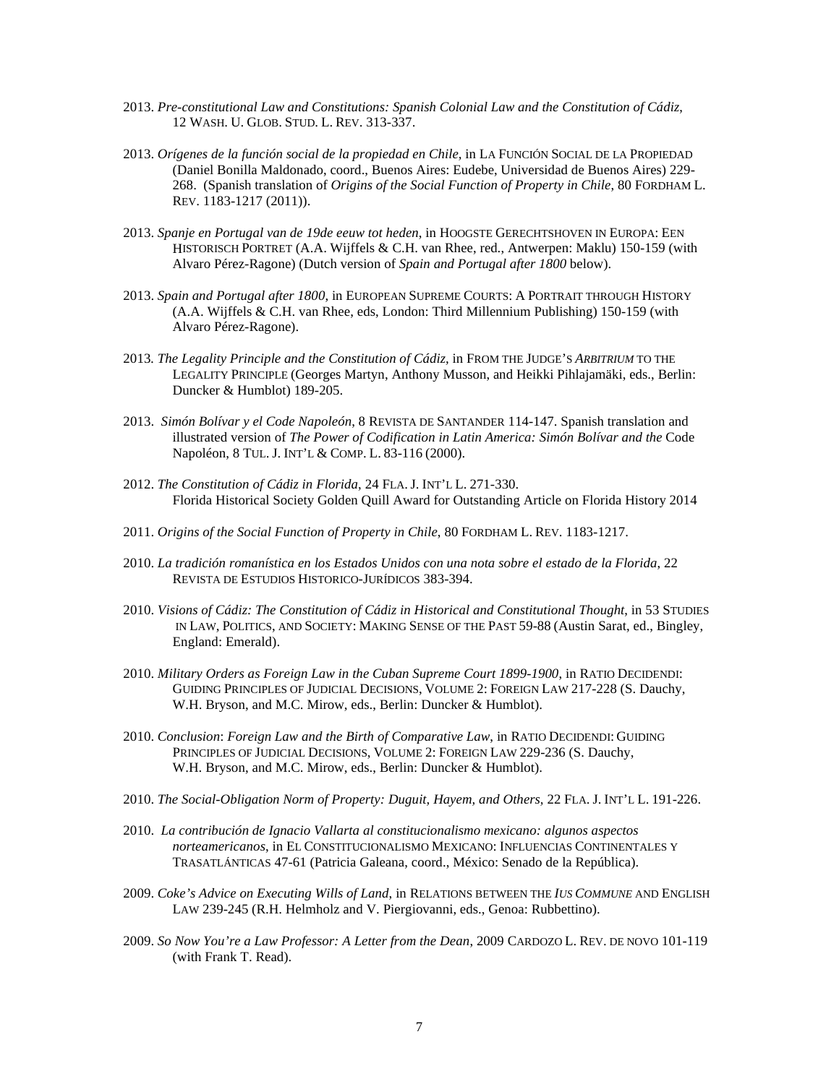- 2013. *Pre-constitutional Law and Constitutions: Spanish Colonial Law and the Constitution of Cádiz*, 12 WASH. U. GLOB. STUD. L. REV. 313-337.
- 2013. *Orígenes de la función social de la propiedad en Chile,* in LA FUNCIÓN SOCIAL DE LA PROPIEDAD (Daniel Bonilla Maldonado, coord., Buenos Aires: Eudebe, Universidad de Buenos Aires) 229- 268. (Spanish translation of *Origins of the Social Function of Property in Chile*, 80 FORDHAM L. REV. 1183-1217 (2011)).
- 2013. *Spanje en Portugal van de 19de eeuw tot heden*, in HOOGSTE GERECHTSHOVEN IN EUROPA: EEN HISTORISCH PORTRET (A.A. Wijffels & C.H. van Rhee, red., Antwerpen: Maklu) 150-159 (with Alvaro Pérez-Ragone) (Dutch version of *Spain and Portugal after 1800* below).
- 2013. *Spain and Portugal after 1800*, in EUROPEAN SUPREME COURTS: A PORTRAIT THROUGH HISTORY (A.A. Wijffels & C.H. van Rhee, eds, London: Third Millennium Publishing) 150-159 (with Alvaro Pérez-Ragone).
- 2013*. The Legality Principle and the Constitution of Cádiz,* in FROM THE JUDGE'S *ARBITRIUM* TO THE LEGALITY PRINCIPLE (Georges Martyn, Anthony Musson, and Heikki Pihlajamäki, eds., Berlin: Duncker & Humblot) 189-205.
- 2013. *Simón Bolívar y el Code Napoleón*, 8 REVISTA DE SANTANDER 114-147. Spanish translation and illustrated version of *The Power of Codification in Latin America: Simón Bolívar and the* Code Napoléon, 8 TUL. J. INT'L & COMP. L. 83-116 (2000).
- 2012. *The Constitution of Cádiz in Florida*, 24 FLA. J. INT'L L. 271-330. Florida Historical Society Golden Quill Award for Outstanding Article on Florida History 2014
- 2011. *Origins of the Social Function of Property in Chile*, 80 FORDHAM L. REV. 1183-1217.
- 2010. *La tradición romanística en los Estados Unidos con una nota sobre el estado de la Florida*, 22 REVISTA DE ESTUDIOS HISTORICO-JURÍDICOS 383-394.
- 2010. *Visions of Cádiz: The Constitution of Cádiz in Historical and Constitutional Thought*, in 53 STUDIES IN LAW, POLITICS, AND SOCIETY: MAKING SENSE OF THE PAST 59-88 (Austin Sarat, ed., Bingley, England: Emerald).
- 2010. *Military Orders as Foreign Law in the Cuban Supreme Court 1899-1900*, in RATIO DECIDENDI: GUIDING PRINCIPLES OF JUDICIAL DECISIONS, VOLUME 2: FOREIGN LAW 217-228 (S. Dauchy, W.H. Bryson, and M.C. Mirow, eds., Berlin: Duncker & Humblot).
- 2010. *Conclusion*: *Foreign Law and the Birth of Comparative Law*, in RATIO DECIDENDI: GUIDING PRINCIPLES OF JUDICIAL DECISIONS, VOLUME 2: FOREIGN LAW 229-236 (S. Dauchy, W.H. Bryson, and M.C. Mirow, eds., Berlin: Duncker & Humblot).
- 2010. *The Social-Obligation Norm of Property: Duguit, Hayem, and Others,* 22 FLA. J. INT'L L. 191-226.
- 2010. *La contribución de Ignacio Vallarta al constitucionalismo mexicano: algunos aspectos norteamericanos*, in EL CONSTITUCIONALISMO MEXICANO: INFLUENCIAS CONTINENTALES Y TRASATLÁNTICAS 47-61 (Patricia Galeana, coord., México: Senado de la República).
- 2009. *Coke's Advice on Executing Wills of Land*, in RELATIONS BETWEEN THE *IUS COMMUNE* AND ENGLISH LAW 239-245 (R.H. Helmholz and V. Piergiovanni, eds., Genoa: Rubbettino).
- 2009. *So Now You're a Law Professor: A Letter from the Dean*, 2009 CARDOZO L. REV. DE NOVO 101-119 (with Frank T. Read).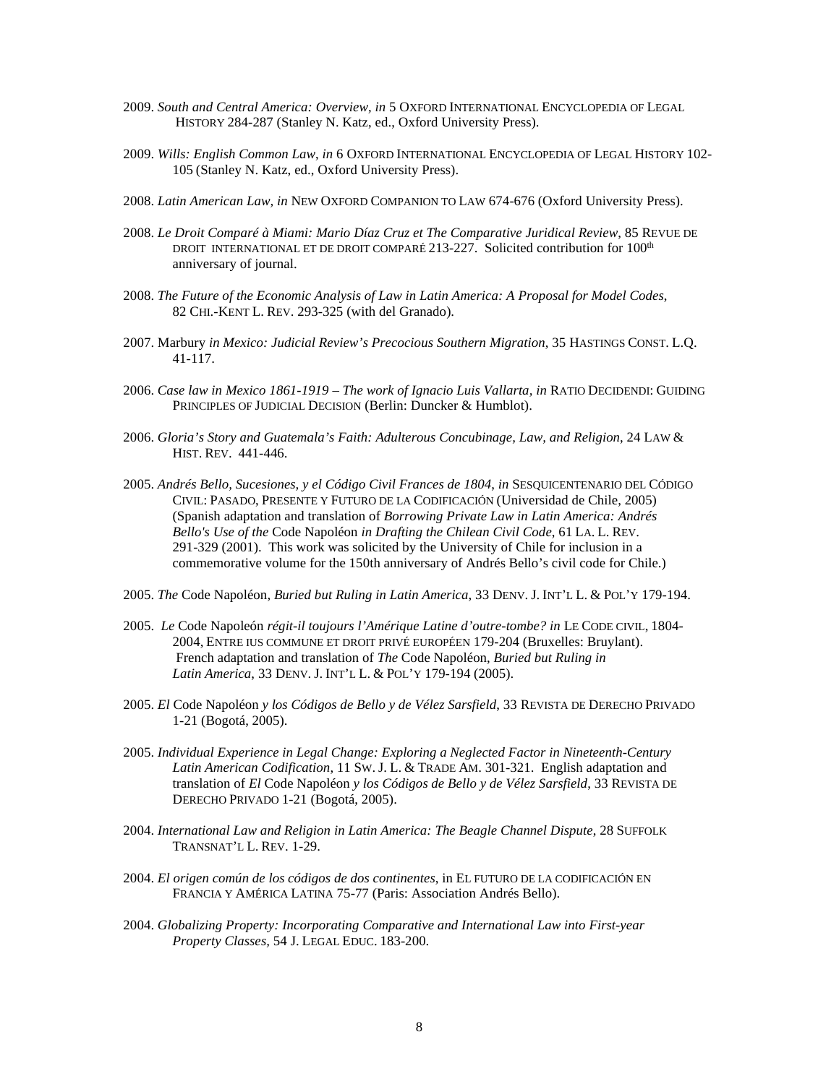- 2009. *South and Central America: Overview, in* 5 OXFORD INTERNATIONAL ENCYCLOPEDIA OF LEGAL HISTORY 284-287 (Stanley N. Katz, ed., Oxford University Press).
- 2009. *Wills: English Common Law*, *in* 6 OXFORD INTERNATIONAL ENCYCLOPEDIA OF LEGAL HISTORY 102- 105 (Stanley N. Katz, ed., Oxford University Press).
- 2008. *Latin American Law, in* NEW OXFORD COMPANION TO LAW 674-676 (Oxford University Press).
- 2008. *Le Droit Comparé à Miami: Mario Díaz Cruz et The Comparative Juridical Review*, 85 REVUE DE DROIT INTERNATIONAL ET DE DROIT COMPARÉ 213-227. Solicited contribution for 100<sup>th</sup> anniversary of journal.
- 2008. *The Future of the Economic Analysis of Law in Latin America: A Proposal for Model Codes*, 82 CHI.-KENT L. REV. 293-325 (with del Granado).
- 2007. Marbury *in Mexico: Judicial Review's Precocious Southern Migration*, 35 HASTINGS CONST. L.Q. 41-117.
- 2006. *Case law in Mexico 1861-1919 – The work of Ignacio Luis Vallarta, in* RATIO DECIDENDI: GUIDING PRINCIPLES OF JUDICIAL DECISION (Berlin: Duncker & Humblot).
- 2006. *Gloria's Story and Guatemala's Faith: Adulterous Concubinage, Law, and Religion*, 24 LAW & HIST. REV. 441-446.
- 2005. *Andrés Bello, Sucesiones, y el Código Civil Frances de 1804*, *in* SESQUICENTENARIO DEL CÓDIGO CIVIL: PASADO, PRESENTE Y FUTURO DE LA CODIFICACIÓN (Universidad de Chile, 2005) (Spanish adaptation and translation of *Borrowing Private Law in Latin America: Andrés Bello's Use of the* Code Napoléon *in Drafting the Chilean Civil Code*, 61 LA. L. REV. 291-329 (2001). This work was solicited by the University of Chile for inclusion in a commemorative volume for the 150th anniversary of Andrés Bello's civil code for Chile.)
- 2005. *The* Code Napoléon, *Buried but Ruling in Latin America*, 33 DENV. J. INT'L L. & POL'Y 179-194.
- 2005. *Le* Code Napoleón *régit-il toujours l'Amérique Latine d'outre-tombe? in* LE CODE CIVIL, 1804- 2004, ENTRE IUS COMMUNE ET DROIT PRIVÉ EUROPÉEN 179-204 (Bruxelles: Bruylant). French adaptation and translation of *The* Code Napoléon, *Buried but Ruling in Latin America*, 33 DENV. J. INT'L L. & POL'Y 179-194 (2005).
- 2005. *El* Code Napoléon *y los Códigos de Bello y de Vélez Sarsfield*, 33 REVISTA DE DERECHO PRIVADO 1-21 (Bogotá, 2005).
- 2005. *Individual Experience in Legal Change: Exploring a Neglected Factor in Nineteenth-Century Latin American Codification*, 11 SW. J. L. & TRADE AM. 301-321. English adaptation and translation of *El* Code Napoléon *y los Códigos de Bello y de Vélez Sarsfield*, 33 REVISTA DE DERECHO PRIVADO 1-21 (Bogotá, 2005).
- 2004. *International Law and Religion in Latin America: The Beagle Channel Dispute*, 28 SUFFOLK TRANSNAT'L L. REV. 1-29.
- 2004. *El origen común de los códigos de dos continentes*, in EL FUTURO DE LA CODIFICACIÓN EN FRANCIA Y AMÉRICA LATINA 75-77 (Paris: Association Andrés Bello).
- 2004. *Globalizing Property: Incorporating Comparative and International Law into First-year Property Classes,* 54 J. LEGAL EDUC. 183-200.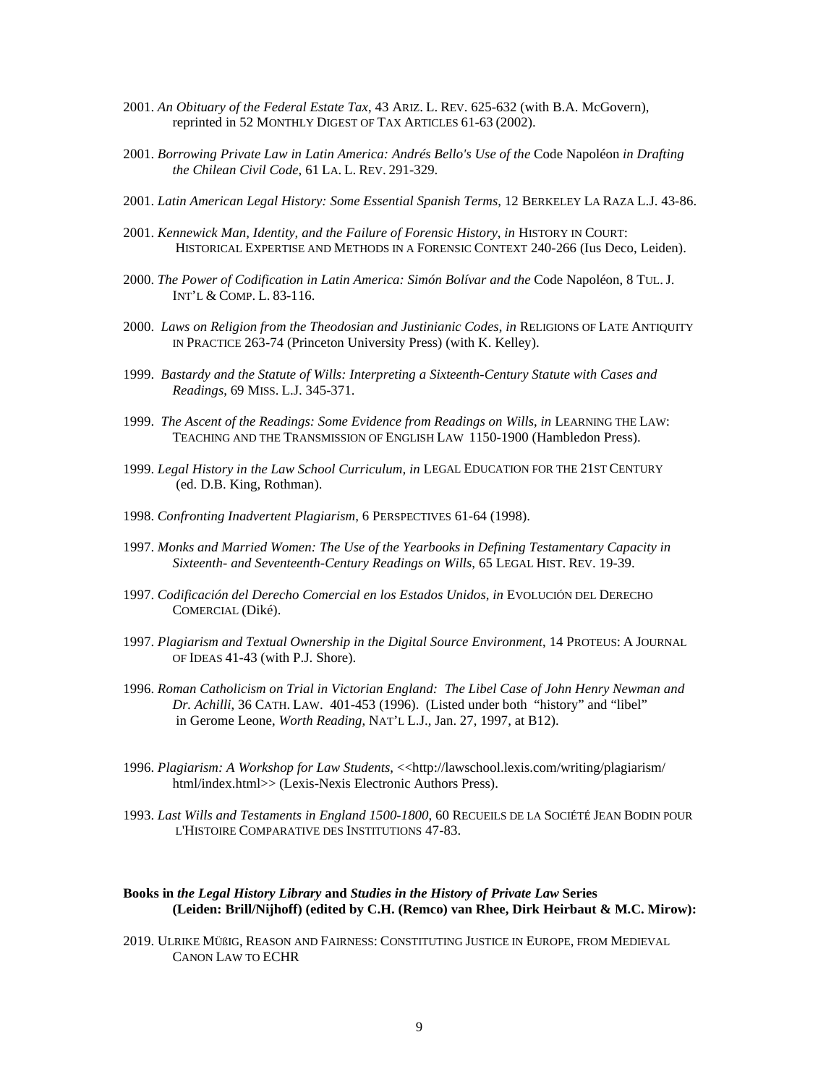- 2001. *An Obituary of the Federal Estate Tax*, 43 ARIZ. L. REV. 625-632 (with B.A. McGovern), reprinted in 52 MONTHLY DIGEST OF TAX ARTICLES 61-63 (2002).
- 2001. *Borrowing Private Law in Latin America: Andrés Bello's Use of the* Code Napoléon *in Drafting the Chilean Civil Code*, 61 LA. L. REV. 291-329.
- 2001. *Latin American Legal History: Some Essential Spanish Terms*, 12 BERKELEY LA RAZA L.J. 43-86.
- 2001. *Kennewick Man, Identity, and the Failure of Forensic History*, *in* HISTORY IN COURT: HISTORICAL EXPERTISE AND METHODS IN A FORENSIC CONTEXT 240-266 (Ius Deco, Leiden).
- 2000. *The Power of Codification in Latin America: Simón Bolívar and the* Code Napoléon, 8 TUL. J. INT'L & COMP. L. 83-116.
- 2000. *Laws on Religion from the Theodosian and Justinianic Codes*, *in* RELIGIONS OF LATE ANTIQUITY IN PRACTICE 263-74 (Princeton University Press) (with K. Kelley).
- 1999. *Bastardy and the Statute of Wills: Interpreting a Sixteenth-Century Statute with Cases and Readings*, 69 MISS. L.J. 345-371.
- 1999. *The Ascent of the Readings: Some Evidence from Readings on Wills*, *in* LEARNING THE LAW: TEACHING AND THE TRANSMISSION OF ENGLISH LAW 1150-1900 (Hambledon Press).
- 1999. *Legal History in the Law School Curriculum, in* LEGAL EDUCATION FOR THE 21ST CENTURY (ed. D.B. King, Rothman).
- 1998. *Confronting Inadvertent Plagiarism*, 6 PERSPECTIVES 61-64 (1998).
- 1997. *Monks and Married Women: The Use of the Yearbooks in Defining Testamentary Capacity in Sixteenth- and Seventeenth-Century Readings on Wills*, 65 LEGAL HIST. REV. 19-39.
- 1997. *Codificación del Derecho Comercial en los Estados Unidos, in* EVOLUCIÓN DEL DERECHO COMERCIAL (Diké).
- 1997. *Plagiarism and Textual Ownership in the Digital Source Environment*, 14 PROTEUS: A JOURNAL OF IDEAS 41-43 (with P.J. Shore).
- 1996. *Roman Catholicism on Trial in Victorian England: The Libel Case of John Henry Newman and Dr. Achilli*, 36 CATH. LAW. 401-453 (1996). (Listed under both "history" and "libel" in Gerome Leone, *Worth Reading*, NAT'L L.J., Jan. 27, 1997, at B12).
- 1996. *Plagiarism: A Workshop for Law Students*, <<http://lawschool.lexis.com/writing/plagiarism/ html/index.html>> (Lexis-Nexis Electronic Authors Press).
- 1993. *Last Wills and Testaments in England 1500-1800*, 60 RECUEILS DE LA SOCIÉTÉ JEAN BODIN POUR L'HISTOIRE COMPARATIVE DES INSTITUTIONS 47-83.

## **Books in** *the Legal History Library* **and** *Studies in the History of Private Law* **Series (Leiden: Brill/Nijhoff) (edited by C.H. (Remco) van Rhee, Dirk Heirbaut & M.C. Mirow):**

2019. ULRIKE MÜßIG, REASON AND FAIRNESS: CONSTITUTING JUSTICE IN EUROPE, FROM MEDIEVAL CANON LAW TO ECHR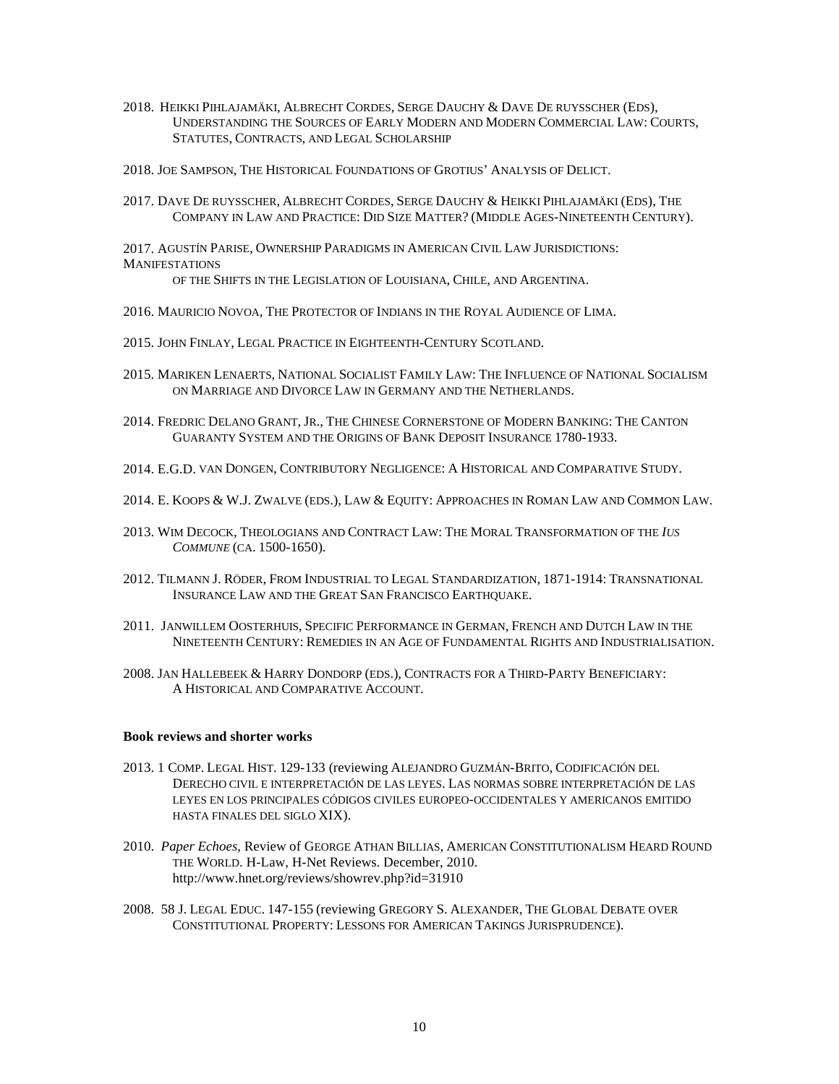- 2018. HEIKKI PIHLAJAMÄKI, ALBRECHT CORDES, SERGE DAUCHY & DAVE DE RUYSSCHER (EDS), UNDERSTANDING THE SOURCES OF EARLY MODERN AND MODERN COMMERCIAL LAW: COURTS, STATUTES, CONTRACTS, AND LEGAL SCHOLARSHIP
- 2018. JOE SAMPSON, THE HISTORICAL FOUNDATIONS OF GROTIUS' ANALYSIS OF DELICT.
- 2017. DAVE DE RUYSSCHER, ALBRECHT CORDES, SERGE DAUCHY & HEIKKI PIHLAJAMÄKI (EDS), THE COMPANY IN LAW AND PRACTICE: DID SIZE MATTER? (MIDDLE AGES-NINETEENTH CENTURY).

2017. AGUSTÍN PARISE, OWNERSHIP PARADIGMS IN AMERICAN CIVIL LAW JURISDICTIONS: **MANIFESTATIONS** 

OF THE SHIFTS IN THE LEGISLATION OF LOUISIANA, CHILE, AND ARGENTINA.

- 2016. MAURICIO NOVOA, THE PROTECTOR OF INDIANS IN THE ROYAL AUDIENCE OF LIMA.
- 2015. JOHN FINLAY, LEGAL PRACTICE IN EIGHTEENTH-CENTURY SCOTLAND.
- 2015. MARIKEN LENAERTS, NATIONAL SOCIALIST FAMILY LAW: THE INFLUENCE OF NATIONAL SOCIALISM ON MARRIAGE AND DIVORCE LAW IN GERMANY AND THE NETHERLANDS.
- 2014. FREDRIC DELANO GRANT, JR., THE CHINESE CORNERSTONE OF MODERN BANKING: THE CANTON GUARANTY SYSTEM AND THE ORIGINS OF BANK DEPOSIT INSURANCE 1780-1933.
- 2014. E.G.D. VAN DONGEN, CONTRIBUTORY NEGLIGENCE: A HISTORICAL AND COMPARATIVE STUDY.
- 2014. E. KOOPS & W.J. ZWALVE (EDS.), LAW & EQUITY: APPROACHES IN ROMAN LAW AND COMMON LAW.
- 2013. WIM DECOCK, THEOLOGIANS AND CONTRACT LAW: THE MORAL TRANSFORMATION OF THE *IUS COMMUNE* (CA. 1500-1650).
- 2012. TILMANN J. RÖDER, FROM INDUSTRIAL TO LEGAL STANDARDIZATION, 1871-1914: TRANSNATIONAL INSURANCE LAW AND THE GREAT SAN FRANCISCO EARTHQUAKE.
- 2011. JANWILLEM OOSTERHUIS, SPECIFIC PERFORMANCE IN GERMAN, FRENCH AND DUTCH LAW IN THE NINETEENTH CENTURY: REMEDIES IN AN AGE OF FUNDAMENTAL RIGHTS AND INDUSTRIALISATION.
- 2008. JAN HALLEBEEK & HARRY DONDORP (EDS.), CONTRACTS FOR A THIRD-PARTY BENEFICIARY: A HISTORICAL AND COMPARATIVE ACCOUNT.

#### **Book reviews and shorter works**

- 2013. 1 COMP. LEGAL HIST. 129-133 (reviewing ALEJANDRO GUZMÁN-BRITO, CODIFICACIÓN DEL DERECHO CIVIL E INTERPRETACIÓN DE LAS LEYES. LAS NORMAS SOBRE INTERPRETACIÓN DE LAS LEYES EN LOS PRINCIPALES CÓDIGOS CIVILES EUROPEO-OCCIDENTALES Y AMERICANOS EMITIDO HASTA FINALES DEL SIGLO XIX).
- 2010. *Paper Echoes*, Review of GEORGE ATHAN BILLIAS, AMERICAN CONSTITUTIONALISM HEARD ROUND THE WORLD. H-Law, H-Net Reviews. December, 2010. http://www.hnet.org/reviews/showrev.php?id=31910
- 2008. 58 J. LEGAL EDUC. 147-155 (reviewing GREGORY S. ALEXANDER, THE GLOBAL DEBATE OVER CONSTITUTIONAL PROPERTY: LESSONS FOR AMERICAN TAKINGS JURISPRUDENCE).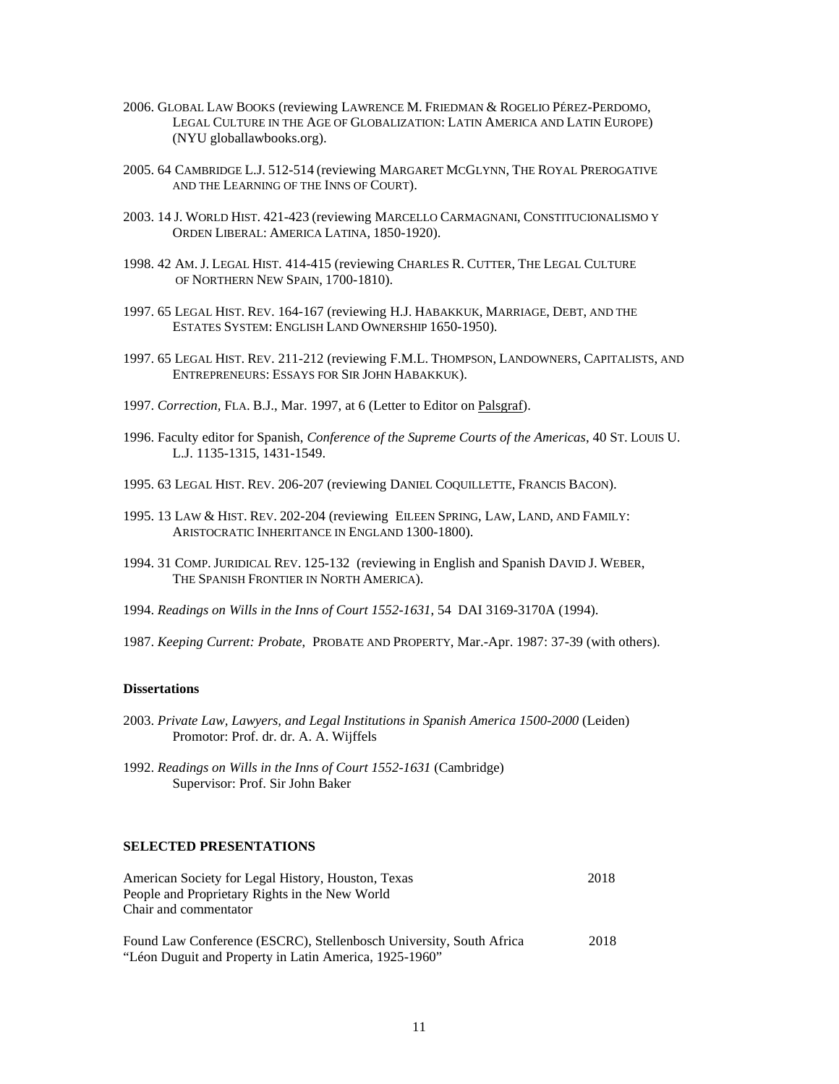- 2006. GLOBAL LAW BOOKS (reviewing LAWRENCE M. FRIEDMAN & ROGELIO PÉREZ-PERDOMO, LEGAL CULTURE IN THE AGE OF GLOBALIZATION: LATIN AMERICA AND LATIN EUROPE) (NYU globallawbooks.org).
- 2005. 64 CAMBRIDGE L.J. 512-514 (reviewing MARGARET MCGLYNN, THE ROYAL PREROGATIVE AND THE LEARNING OF THE INNS OF COURT).
- 2003. 14 J. WORLD HIST. 421-423 (reviewing MARCELLO CARMAGNANI, CONSTITUCIONALISMO Y ORDEN LIBERAL: AMERICA LATINA, 1850-1920).
- 1998. 42 AM. J. LEGAL HIST. 414-415 (reviewing CHARLES R. CUTTER, THE LEGAL CULTURE OF NORTHERN NEW SPAIN, 1700-1810).
- 1997. 65 LEGAL HIST. REV. 164-167 (reviewing H.J. HABAKKUK, MARRIAGE, DEBT, AND THE ESTATES SYSTEM: ENGLISH LAND OWNERSHIP 1650-1950).
- 1997. 65 LEGAL HIST. REV. 211-212 (reviewing F.M.L. THOMPSON, LANDOWNERS, CAPITALISTS, AND ENTREPRENEURS: ESSAYS FOR SIR JOHN HABAKKUK).
- 1997. *Correction,* FLA. B.J., Mar. 1997, at 6 (Letter to Editor on Palsgraf).
- 1996. Faculty editor for Spanish, *Conference of the Supreme Courts of the Americas*, 40 ST. LOUIS U. L.J. 1135-1315, 1431-1549.
- 1995. 63 LEGAL HIST. REV. 206-207 (reviewing DANIEL COQUILLETTE, FRANCIS BACON).
- 1995. 13 LAW & HIST. REV. 202-204 (reviewing EILEEN SPRING, LAW, LAND, AND FAMILY: ARISTOCRATIC INHERITANCE IN ENGLAND 1300-1800).
- 1994. 31 COMP. JURIDICAL REV. 125-132 (reviewing in English and Spanish DAVID J. WEBER, THE SPANISH FRONTIER IN NORTH AMERICA).
- 1994. *Readings on Wills in the Inns of Court 1552-1631*, 54 DAI 3169-3170A (1994).
- 1987. *Keeping Current: Probate*, PROBATE AND PROPERTY, Mar.-Apr. 1987: 37-39 (with others).

#### **Dissertations**

- 2003. *Private Law, Lawyers, and Legal Institutions in Spanish America 1500-2000* (Leiden) Promotor: Prof. dr. dr. A. A. Wijffels
- 1992. *Readings on Wills in the Inns of Court 1552-1631* (Cambridge) Supervisor: Prof. Sir John Baker

## **SELECTED PRESENTATIONS**

| American Society for Legal History, Houston, Texas                  | 2018 |
|---------------------------------------------------------------------|------|
| People and Proprietary Rights in the New World                      |      |
| Chair and commentator                                               |      |
| Found Law Conference (ESCRC), Stellenbosch University, South Africa | 2018 |
| "Léon Duguit and Property in Latin America, 1925-1960"              |      |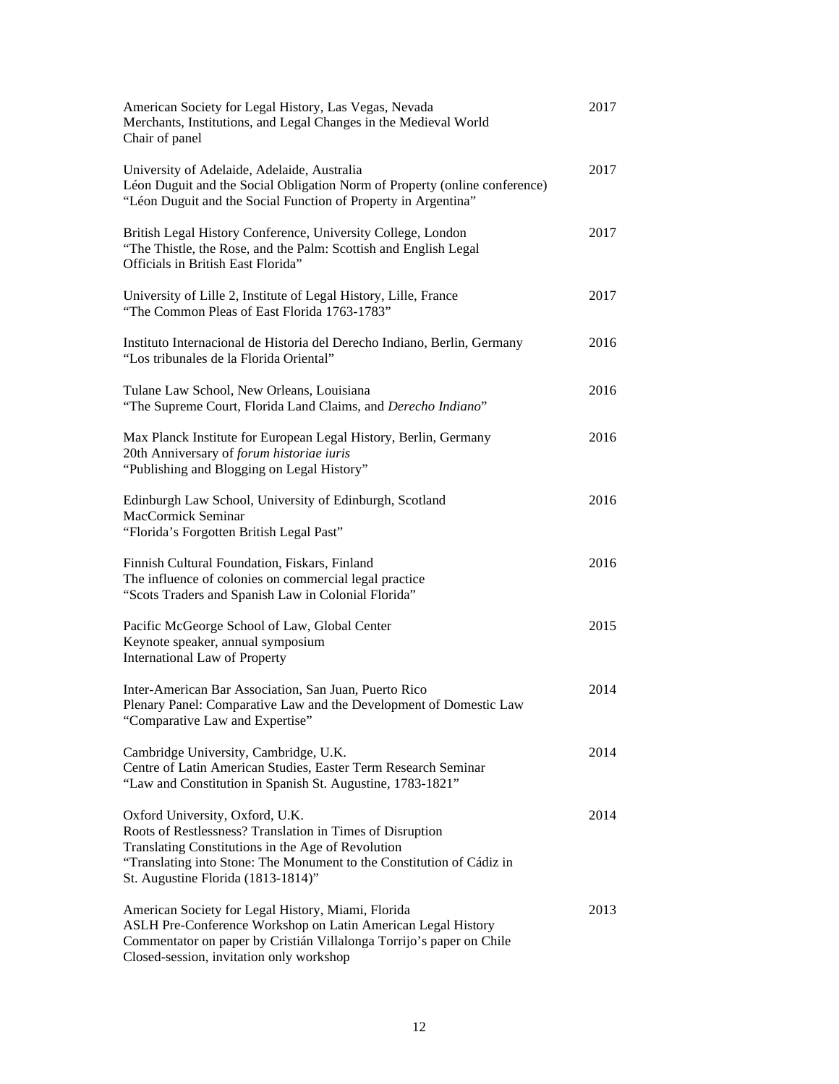| American Society for Legal History, Las Vegas, Nevada<br>Merchants, Institutions, and Legal Changes in the Medieval World<br>Chair of panel                                                                                                                       | 2017 |
|-------------------------------------------------------------------------------------------------------------------------------------------------------------------------------------------------------------------------------------------------------------------|------|
| University of Adelaide, Adelaide, Australia<br>Léon Duguit and the Social Obligation Norm of Property (online conference)<br>"Léon Duguit and the Social Function of Property in Argentina"                                                                       | 2017 |
| British Legal History Conference, University College, London<br>"The Thistle, the Rose, and the Palm: Scottish and English Legal<br>Officials in British East Florida"                                                                                            | 2017 |
| University of Lille 2, Institute of Legal History, Lille, France<br>"The Common Pleas of East Florida 1763-1783"                                                                                                                                                  | 2017 |
| Instituto Internacional de Historia del Derecho Indiano, Berlin, Germany<br>"Los tribunales de la Florida Oriental"                                                                                                                                               | 2016 |
| Tulane Law School, New Orleans, Louisiana<br>"The Supreme Court, Florida Land Claims, and Derecho Indiano"                                                                                                                                                        | 2016 |
| Max Planck Institute for European Legal History, Berlin, Germany<br>20th Anniversary of forum historiae iuris<br>"Publishing and Blogging on Legal History"                                                                                                       | 2016 |
| Edinburgh Law School, University of Edinburgh, Scotland<br>MacCormick Seminar<br>"Florida's Forgotten British Legal Past"                                                                                                                                         | 2016 |
| Finnish Cultural Foundation, Fiskars, Finland<br>The influence of colonies on commercial legal practice<br>"Scots Traders and Spanish Law in Colonial Florida"                                                                                                    | 2016 |
| Pacific McGeorge School of Law, Global Center<br>Keynote speaker, annual symposium<br><b>International Law of Property</b>                                                                                                                                        | 2015 |
| Inter-American Bar Association, San Juan, Puerto Rico<br>Plenary Panel: Comparative Law and the Development of Domestic Law<br>"Comparative Law and Expertise"                                                                                                    | 2014 |
| Cambridge University, Cambridge, U.K.<br>Centre of Latin American Studies, Easter Term Research Seminar<br>"Law and Constitution in Spanish St. Augustine, 1783-1821"                                                                                             | 2014 |
| Oxford University, Oxford, U.K.<br>Roots of Restlessness? Translation in Times of Disruption<br>Translating Constitutions in the Age of Revolution<br>"Translating into Stone: The Monument to the Constitution of Cádiz in<br>St. Augustine Florida (1813-1814)" | 2014 |
| American Society for Legal History, Miami, Florida<br>ASLH Pre-Conference Workshop on Latin American Legal History<br>Commentator on paper by Cristián Villalonga Torrijo's paper on Chile<br>Closed-session, invitation only workshop                            | 2013 |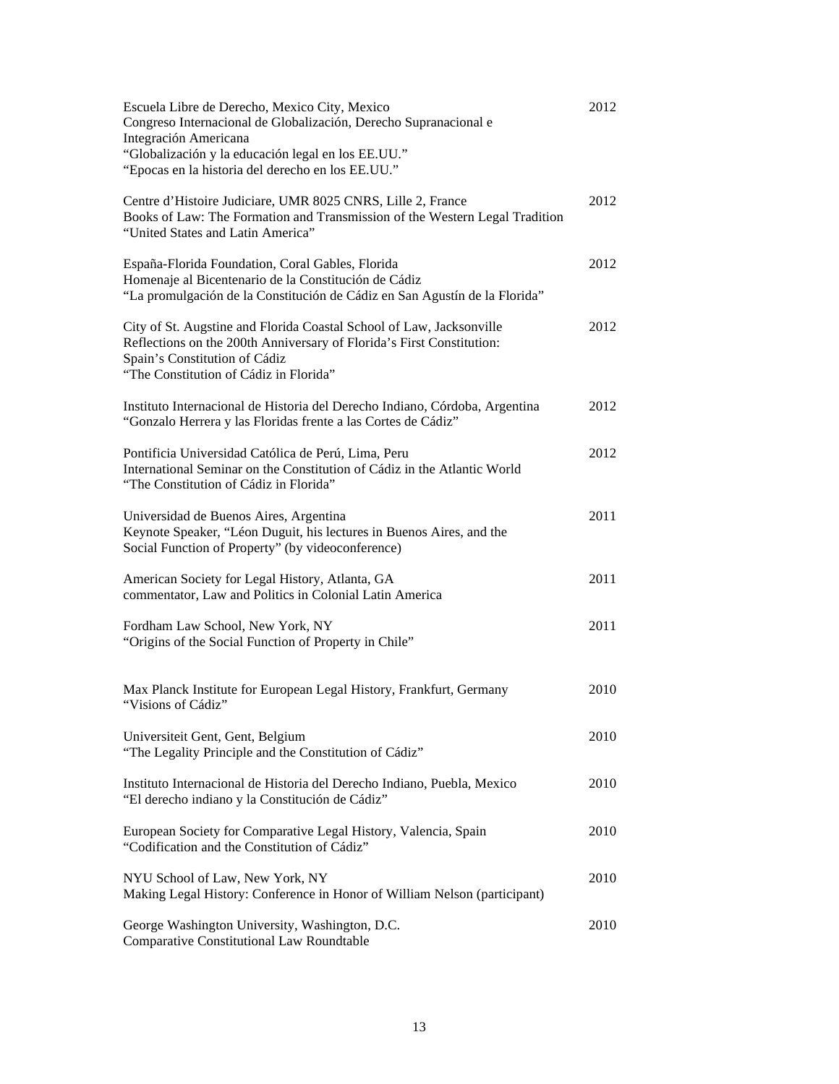| Escuela Libre de Derecho, Mexico City, Mexico<br>Congreso Internacional de Globalización, Derecho Supranacional e<br>Integración Americana<br>"Globalización y la educación legal en los EE.UU."<br>"Epocas en la historia del derecho en los EE.UU." | 2012 |
|-------------------------------------------------------------------------------------------------------------------------------------------------------------------------------------------------------------------------------------------------------|------|
| Centre d'Histoire Judiciare, UMR 8025 CNRS, Lille 2, France<br>Books of Law: The Formation and Transmission of the Western Legal Tradition<br>"United States and Latin America"                                                                       | 2012 |
| España-Florida Foundation, Coral Gables, Florida<br>Homenaje al Bicentenario de la Constitución de Cádiz<br>"La promulgación de la Constitución de Cádiz en San Agustín de la Florida"                                                                | 2012 |
| City of St. Augstine and Florida Coastal School of Law, Jacksonville<br>Reflections on the 200th Anniversary of Florida's First Constitution:<br>Spain's Constitution of Cádiz<br>"The Constitution of Cádiz in Florida"                              | 2012 |
| Instituto Internacional de Historia del Derecho Indiano, Córdoba, Argentina<br>"Gonzalo Herrera y las Floridas frente a las Cortes de Cádiz"                                                                                                          | 2012 |
| Pontificia Universidad Católica de Perú, Lima, Peru<br>International Seminar on the Constitution of Cádiz in the Atlantic World<br>"The Constitution of Cádiz in Florida"                                                                             | 2012 |
| Universidad de Buenos Aires, Argentina<br>Keynote Speaker, "Léon Duguit, his lectures in Buenos Aires, and the<br>Social Function of Property" (by videoconference)                                                                                   | 2011 |
| American Society for Legal History, Atlanta, GA<br>commentator, Law and Politics in Colonial Latin America                                                                                                                                            | 2011 |
| Fordham Law School, New York, NY<br>"Origins of the Social Function of Property in Chile"                                                                                                                                                             | 2011 |
| Max Planck Institute for European Legal History, Frankfurt, Germany<br>"Visions of Cádiz"                                                                                                                                                             | 2010 |
| Universiteit Gent, Gent, Belgium<br>"The Legality Principle and the Constitution of Cádiz"                                                                                                                                                            | 2010 |
| Instituto Internacional de Historia del Derecho Indiano, Puebla, Mexico<br>"El derecho indiano y la Constitución de Cádiz"                                                                                                                            | 2010 |
| European Society for Comparative Legal History, Valencia, Spain<br>"Codification and the Constitution of Cádiz"                                                                                                                                       | 2010 |
| NYU School of Law, New York, NY<br>Making Legal History: Conference in Honor of William Nelson (participant)                                                                                                                                          | 2010 |
| George Washington University, Washington, D.C.<br><b>Comparative Constitutional Law Roundtable</b>                                                                                                                                                    | 2010 |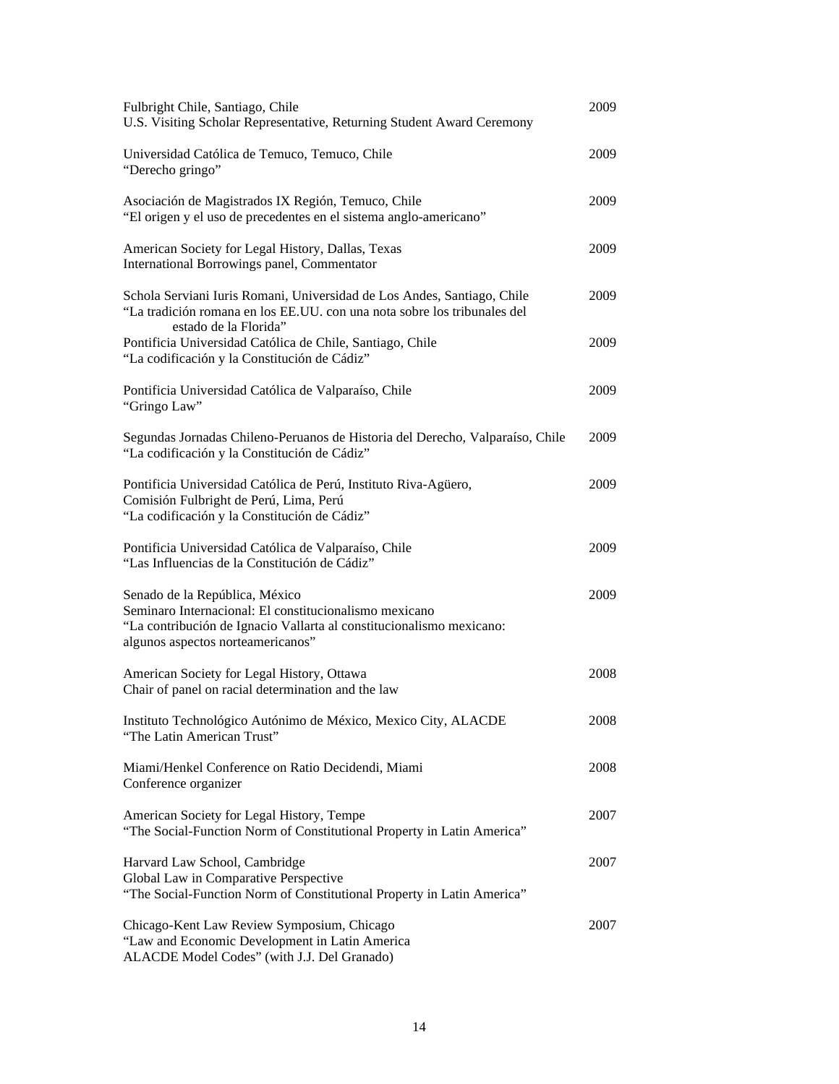| Fulbright Chile, Santiago, Chile<br>U.S. Visiting Scholar Representative, Returning Student Award Ceremony                                                                                            | 2009 |
|-------------------------------------------------------------------------------------------------------------------------------------------------------------------------------------------------------|------|
| Universidad Católica de Temuco, Temuco, Chile<br>"Derecho gringo"                                                                                                                                     | 2009 |
| Asociación de Magistrados IX Región, Temuco, Chile<br>"El origen y el uso de precedentes en el sistema anglo-americano"                                                                               | 2009 |
| American Society for Legal History, Dallas, Texas<br>International Borrowings panel, Commentator                                                                                                      | 2009 |
| Schola Serviani Iuris Romani, Universidad de Los Andes, Santiago, Chile<br>"La tradición romana en los EE.UU. con una nota sobre los tribunales del<br>estado de la Florida"                          | 2009 |
| Pontificia Universidad Católica de Chile, Santiago, Chile<br>"La codificación y la Constitución de Cádiz"                                                                                             | 2009 |
| Pontificia Universidad Católica de Valparaíso, Chile<br>"Gringo Law"                                                                                                                                  | 2009 |
| Segundas Jornadas Chileno-Peruanos de Historia del Derecho, Valparaíso, Chile<br>"La codificación y la Constitución de Cádiz"                                                                         | 2009 |
| Pontificia Universidad Católica de Perú, Instituto Riva-Agüero,<br>Comisión Fulbright de Perú, Lima, Perú<br>"La codificación y la Constitución de Cádiz"                                             | 2009 |
| Pontificia Universidad Católica de Valparaíso, Chile<br>"Las Influencias de la Constitución de Cádiz"                                                                                                 | 2009 |
| Senado de la República, México<br>Seminaro Internacional: El constitucionalismo mexicano<br>"La contribución de Ignacio Vallarta al constitucionalismo mexicano:<br>algunos aspectos norteamericanos" | 2009 |
| American Society for Legal History, Ottawa<br>Chair of panel on racial determination and the law                                                                                                      | 2008 |
| Instituto Technológico Autónimo de México, Mexico City, ALACDE<br>"The Latin American Trust"                                                                                                          | 2008 |
| Miami/Henkel Conference on Ratio Decidendi, Miami<br>Conference organizer                                                                                                                             | 2008 |
| American Society for Legal History, Tempe<br>"The Social-Function Norm of Constitutional Property in Latin America"                                                                                   | 2007 |
| Harvard Law School, Cambridge<br>Global Law in Comparative Perspective<br>"The Social-Function Norm of Constitutional Property in Latin America"                                                      | 2007 |
| Chicago-Kent Law Review Symposium, Chicago<br>"Law and Economic Development in Latin America<br>ALACDE Model Codes" (with J.J. Del Granado)                                                           | 2007 |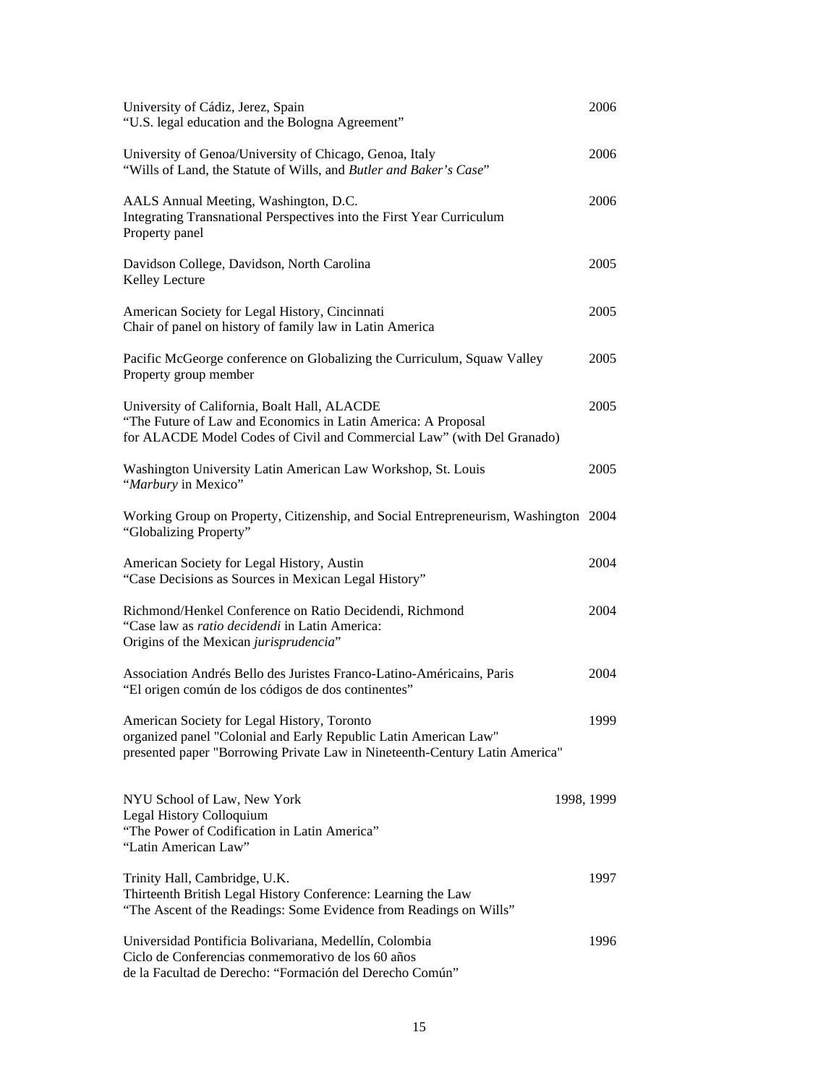| University of Cádiz, Jerez, Spain<br>"U.S. legal education and the Bologna Agreement"                                                                                                          | 2006 |
|------------------------------------------------------------------------------------------------------------------------------------------------------------------------------------------------|------|
| University of Genoa/University of Chicago, Genoa, Italy<br>"Wills of Land, the Statute of Wills, and Butler and Baker's Case"                                                                  | 2006 |
| AALS Annual Meeting, Washington, D.C.<br>Integrating Transnational Perspectives into the First Year Curriculum<br>Property panel                                                               | 2006 |
| Davidson College, Davidson, North Carolina<br>Kelley Lecture                                                                                                                                   | 2005 |
| American Society for Legal History, Cincinnati<br>Chair of panel on history of family law in Latin America                                                                                     | 2005 |
| Pacific McGeorge conference on Globalizing the Curriculum, Squaw Valley<br>Property group member                                                                                               | 2005 |
| University of California, Boalt Hall, ALACDE<br>"The Future of Law and Economics in Latin America: A Proposal<br>for ALACDE Model Codes of Civil and Commercial Law" (with Del Granado)        | 2005 |
| Washington University Latin American Law Workshop, St. Louis<br>"Marbury in Mexico"                                                                                                            | 2005 |
| Working Group on Property, Citizenship, and Social Entrepreneurism, Washington 2004<br>"Globalizing Property"                                                                                  |      |
| American Society for Legal History, Austin<br>"Case Decisions as Sources in Mexican Legal History"                                                                                             | 2004 |
| Richmond/Henkel Conference on Ratio Decidendi, Richmond<br>"Case law as ratio decidendi in Latin America:<br>Origins of the Mexican jurisprudencia"                                            | 2004 |
| Association Andrés Bello des Juristes Franco-Latino-Américains, Paris<br>"El origen común de los códigos de dos continentes"                                                                   | 2004 |
| American Society for Legal History, Toronto<br>organized panel "Colonial and Early Republic Latin American Law"<br>presented paper "Borrowing Private Law in Nineteenth-Century Latin America" | 1999 |
| NYU School of Law, New York<br>1998, 1999<br>Legal History Colloquium<br>"The Power of Codification in Latin America"<br>"Latin American Law"                                                  |      |
| Trinity Hall, Cambridge, U.K.<br>Thirteenth British Legal History Conference: Learning the Law<br>"The Ascent of the Readings: Some Evidence from Readings on Wills"                           | 1997 |
| Universidad Pontificia Bolivariana, Medellín, Colombia<br>Ciclo de Conferencias conmemorativo de los 60 años<br>de la Facultad de Derecho: "Formación del Derecho Común"                       | 1996 |